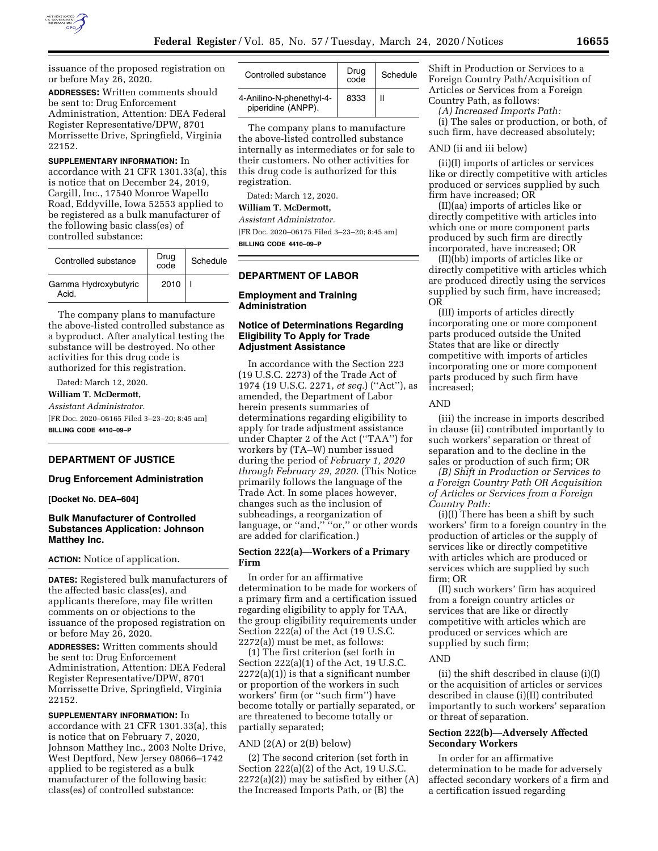

issuance of the proposed registration on or before May 26, 2020.

**ADDRESSES:** Written comments should be sent to: Drug Enforcement Administration, Attention: DEA Federal Register Representative/DPW, 8701 Morrissette Drive, Springfield, Virginia 22152.

**SUPPLEMENTARY INFORMATION:** In accordance with 21 CFR 1301.33(a), this is notice that on December 24, 2019, Cargill, Inc., 17540 Monroe Wapello Road, Eddyville, Iowa 52553 applied to be registered as a bulk manufacturer of the following basic class(es) of controlled substance:

| Controlled substance          | Drug<br>code | Schedule |
|-------------------------------|--------------|----------|
| Gamma Hydroxybutyric<br>Acid. | 2010         |          |

The company plans to manufacture the above-listed controlled substance as a byproduct. After analytical testing the substance will be destroyed. No other activities for this drug code is authorized for this registration.

Dated: March 12, 2020.

## **William T. McDermott,**

*Assistant Administrator.*  [FR Doc. 2020–06165 Filed 3–23–20; 8:45 am] **BILLING CODE 4410–09–P** 

# **DEPARTMENT OF JUSTICE**

#### **Drug Enforcement Administration**

**[Docket No. DEA–604]** 

### **Bulk Manufacturer of Controlled Substances Application: Johnson Matthey Inc.**

**ACTION:** Notice of application.

**DATES:** Registered bulk manufacturers of the affected basic class(es), and applicants therefore, may file written comments on or objections to the issuance of the proposed registration on or before May 26, 2020.

**ADDRESSES:** Written comments should be sent to: Drug Enforcement Administration, Attention: DEA Federal Register Representative/DPW, 8701 Morrissette Drive, Springfield, Virginia 22152.

### **SUPPLEMENTARY INFORMATION:** In

accordance with 21 CFR 1301.33(a), this is notice that on February 7, 2020, Johnson Matthey Inc., 2003 Nolte Drive, West Deptford, New Jersey 08066–1742 applied to be registered as a bulk manufacturer of the following basic class(es) of controlled substance:

| Controlled substance                           | Drug<br>code | Schedule |
|------------------------------------------------|--------------|----------|
| 4-Anilino-N-phenethyl-4-<br>piperidine (ANPP). | 8333         |          |

The company plans to manufacture the above-listed controlled substance internally as intermediates or for sale to their customers. No other activities for this drug code is authorized for this registration.

Dated: March 12, 2020.

# **William T. McDermott,**

*Assistant Administrator.* 

[FR Doc. 2020–06175 Filed 3–23–20; 8:45 am] **BILLING CODE 4410–09–P** 

## **DEPARTMENT OF LABOR**

### **Employment and Training Administration**

## **Notice of Determinations Regarding Eligibility To Apply for Trade Adjustment Assistance**

In accordance with the Section 223 (19 U.S.C. 2273) of the Trade Act of 1974 (19 U.S.C. 2271, *et seq.*) (''Act''), as amended, the Department of Labor herein presents summaries of determinations regarding eligibility to apply for trade adjustment assistance under Chapter 2 of the Act (''TAA'') for workers by (TA–W) number issued during the period of *February 1, 2020 through February 29, 2020.* (This Notice primarily follows the language of the Trade Act. In some places however, changes such as the inclusion of subheadings, a reorganization of language, or "and," "or," or other words are added for clarification.)

#### **Section 222(a)—Workers of a Primary Firm**

In order for an affirmative determination to be made for workers of a primary firm and a certification issued regarding eligibility to apply for TAA, the group eligibility requirements under Section 222(a) of the Act (19 U.S.C. 2272(a)) must be met, as follows:

(1) The first criterion (set forth in Section 222(a)(1) of the Act, 19 U.S.C. 2272(a)(1)) is that a significant number or proportion of the workers in such workers' firm (or ''such firm'') have become totally or partially separated, or are threatened to become totally or partially separated;

#### AND  $(2(A)$  or  $2(B)$  below)

(2) The second criterion (set forth in Section 222(a)(2) of the Act, 19 U.S.C.  $2272(a)(2)$  may be satisfied by either  $(A)$ the Increased Imports Path, or (B) the

Shift in Production or Services to a Foreign Country Path/Acquisition of Articles or Services from a Foreign Country Path, as follows:

*(A) Increased Imports Path:* 

(i) The sales or production, or both, of such firm, have decreased absolutely;

#### AND (ii and iii below)

(ii)(I) imports of articles or services like or directly competitive with articles produced or services supplied by such firm have increased; OR

(II)(aa) imports of articles like or directly competitive with articles into which one or more component parts produced by such firm are directly incorporated, have increased; OR

(II)(bb) imports of articles like or directly competitive with articles which are produced directly using the services supplied by such firm, have increased; OR

(III) imports of articles directly incorporating one or more component parts produced outside the United States that are like or directly competitive with imports of articles incorporating one or more component parts produced by such firm have increased;

#### AND

(iii) the increase in imports described in clause (ii) contributed importantly to such workers' separation or threat of separation and to the decline in the sales or production of such firm; OR

*(B) Shift in Production or Services to a Foreign Country Path OR Acquisition of Articles or Services from a Foreign Country Path:* 

(i)(I) There has been a shift by such workers' firm to a foreign country in the production of articles or the supply of services like or directly competitive with articles which are produced or services which are supplied by such firm; OR

(II) such workers' firm has acquired from a foreign country articles or services that are like or directly competitive with articles which are produced or services which are supplied by such firm;

#### AND

(ii) the shift described in clause (i)(I) or the acquisition of articles or services described in clause (i)(II) contributed importantly to such workers' separation or threat of separation.

## **Section 222(b)—Adversely Affected Secondary Workers**

In order for an affirmative determination to be made for adversely affected secondary workers of a firm and a certification issued regarding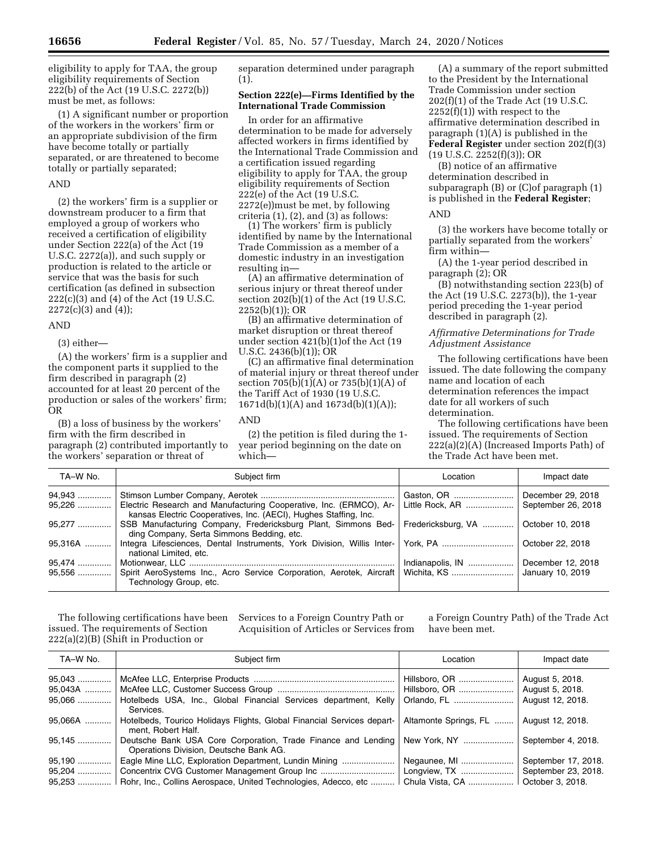eligibility to apply for TAA, the group eligibility requirements of Section 222(b) of the Act (19 U.S.C. 2272(b)) must be met, as follows:

(1) A significant number or proportion of the workers in the workers' firm or an appropriate subdivision of the firm have become totally or partially separated, or are threatened to become totally or partially separated;

### AND

(2) the workers' firm is a supplier or downstream producer to a firm that employed a group of workers who received a certification of eligibility under Section 222(a) of the Act (19 U.S.C. 2272(a)), and such supply or production is related to the article or service that was the basis for such certification (as defined in subsection 222(c)(3) and (4) of the Act (19 U.S.C.  $2272(c)(3)$  and  $(4)$ );

### AND

(3) either—

(A) the workers' firm is a supplier and the component parts it supplied to the firm described in paragraph (2) accounted for at least 20 percent of the production or sales of the workers' firm; OR

(B) a loss of business by the workers' firm with the firm described in paragraph (2) contributed importantly to the workers' separation or threat of

separation determined under paragraph (1).

### **Section 222(e)—Firms Identified by the International Trade Commission**

In order for an affirmative determination to be made for adversely affected workers in firms identified by the International Trade Commission and a certification issued regarding eligibility to apply for TAA, the group eligibility requirements of Section 222(e) of the Act (19 U.S.C. 2272(e))must be met, by following criteria  $(1)$ ,  $(2)$ , and  $(3)$  as follows:

(1) The workers' firm is publicly identified by name by the International Trade Commission as a member of a domestic industry in an investigation resulting in—

(A) an affirmative determination of serious injury or threat thereof under section 202(b)(1) of the Act (19 U.S.C. 2252(b)(1)); OR

(B) an affirmative determination of market disruption or threat thereof under section 421(b)(1)of the Act (19 U.S.C. 2436(b)(1)); OR

(C) an affirmative final determination of material injury or threat thereof under section  $705(b)(1)(A)$  or  $735(b)(1)(A)$  of the Tariff Act of 1930 (19 U.S.C. 1671d(b)(1)(A) and 1673d(b)(1)(A));

### AND

(2) the petition is filed during the 1 year period beginning on the date on which—

(A) a summary of the report submitted to the President by the International Trade Commission under section 202(f)(1) of the Trade Act (19 U.S.C.  $2252(f)(1)$ ) with respect to the affirmative determination described in paragraph (1)(A) is published in the **Federal Register** under section 202(f)(3)  $(19 \text{ U.S.C. } 2252(f)(3))$ ; OR

(B) notice of an affirmative determination described in subparagraph (B) or (C)of paragraph (1) is published in the **Federal Register**;

#### AND

(3) the workers have become totally or partially separated from the workers' firm within—

(A) the 1-year period described in paragraph (2); OR

(B) notwithstanding section 223(b) of the Act (19 U.S.C. 2273(b)), the 1-year period preceding the 1-year period described in paragraph (2).

## *Affirmative Determinations for Trade Adjustment Assistance*

The following certifications have been issued. The date following the company name and location of each determination references the impact date for all workers of such determination.

The following certifications have been issued. The requirements of Section 222(a)(2)(A) (Increased Imports Path) of the Trade Act have been met.

| TA-W No.            | Subject firm                                                                                                                                      | Location                        | Impact date                           |
|---------------------|---------------------------------------------------------------------------------------------------------------------------------------------------|---------------------------------|---------------------------------------|
| 94,943   <br>95,226 | Electric Research and Manufacturing Cooperative, Inc. (ERMCO), Ar-<br>kansas Electric Cooperatives, Inc. (AECI), Hughes Staffing, Inc.            | Gaston, OR    December 29, 2018 | September 26, 2018                    |
| $95.277$            | SSB Manufacturing Company, Fredericksburg Plant, Simmons Bed- Fredericksburg, VA    October 10, 2018<br>ding Company, Serta Simmons Bedding, etc. |                                 |                                       |
| 95.316A             | national Limited, etc.                                                                                                                            |                                 | October 22, 2018                      |
| 95,474              | 95,556  Spirit AeroSystems Inc., Acro Service Corporation, Aerotek, Aircraft   Wichita, KS<br>Technology Group, etc.                              | Indianapolis, IN                | December 12, 2018<br>January 10, 2019 |

The following certifications have been issued. The requirements of Section 222(a)(2)(B) (Shift in Production or

Services to a Foreign Country Path or Acquisition of Articles or Services from

a Foreign Country Path) of the Trade Act have been met.

| TA-W No.                    | Subject firm                                                                                                           | Location              | Impact date                                            |
|-----------------------------|------------------------------------------------------------------------------------------------------------------------|-----------------------|--------------------------------------------------------|
| 95,043<br>95,043A<br>95,066 | Hotelbeds USA, Inc., Global Financial Services department, Kelly                                                       |                       | August 5, 2018.<br>August 5, 2018.<br>August 12, 2018. |
| 95,066A                     | Services.<br>Hotelbeds, Tourico Holidays Flights, Global Financial Services depart-<br>ment, Robert Half.              | Altamonte Springs, FL | August 12, 2018.                                       |
| 95,145                      | Deutsche Bank USA Core Corporation, Trade Finance and Lending   New York, NY<br>Operations Division, Deutsche Bank AG. |                       | September 4, 2018.                                     |
| 95,190                      | Eagle Mine LLC, Exploration Department, Lundin Mining                                                                  | Negaunee, MI          | September 17, 2018.                                    |
| 95,204                      |                                                                                                                        | Longview, TX          | September 23, 2018.                                    |
| 95,253                      | Rohr, Inc., Collins Aerospace, United Technologies, Adecco, etc                                                        |                       | October 3, 2018.                                       |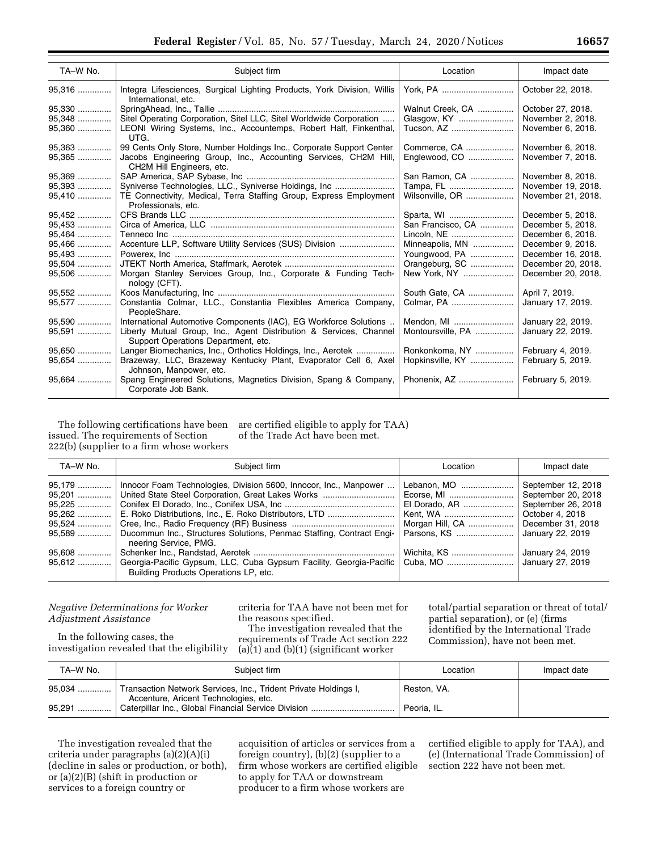| TA-W No. | Subject firm                                                                                              | Location          | Impact date        |
|----------|-----------------------------------------------------------------------------------------------------------|-------------------|--------------------|
| 95,316   | Integra Lifesciences, Surgical Lighting Products, York Division, Willis<br>International, etc.            | York, PA          | October 22, 2018.  |
| 95.330   |                                                                                                           | Walnut Creek, CA  | October 27, 2018.  |
| 95.348   | Sitel Operating Corporation, Sitel LLC, Sitel Worldwide Corporation                                       | Glasgow, KY       | November 2, 2018.  |
| 95,360   | LEONI Wiring Systems, Inc., Accountemps, Robert Half, Finkenthal,<br>UTG.                                 | Tucson, AZ        | November 6, 2018.  |
| 95,363   | 99 Cents Only Store, Number Holdings Inc., Corporate Support Center                                       | Commerce, CA      | November 6, 2018.  |
| 95,365   | Jacobs Engineering Group, Inc., Accounting Services, CH2M Hill,<br>CH2M Hill Engineers, etc.              | Englewood, CO     | November 7, 2018.  |
| 95.369   |                                                                                                           | San Ramon, CA     | November 8, 2018.  |
| 95,393   | Syniverse Technologies, LLC., Syniverse Holdings, Inc                                                     | Tampa, FL         | November 19, 2018. |
| 95,410   | TE Connectivity, Medical, Terra Staffing Group, Express Employment<br>Professionals, etc.                 | Wilsonville, OR   | November 21, 2018. |
| 95,452   |                                                                                                           | Sparta, WI        | December 5, 2018.  |
| 95,453   |                                                                                                           | San Francisco, CA | December 5, 2018.  |
| 95,464   |                                                                                                           | Lincoln, NE       | December 6, 2018.  |
| 95,466   | Accenture LLP, Software Utility Services (SUS) Division                                                   | Minneapolis, MN   | December 9, 2018.  |
| 95,493   |                                                                                                           | Youngwood, PA     | December 16, 2018. |
| 95,504   |                                                                                                           | Orangeburg, SC    | December 20, 2018. |
| 95,506   | Morgan Stanley Services Group, Inc., Corporate & Funding Tech-<br>nology (CFT).                           | New York, NY      | December 20, 2018. |
| 95,552   |                                                                                                           | South Gate, CA    | April 7, 2019.     |
| 95,577   | Constantia Colmar, LLC., Constantia Flexibles America Company,<br>PeopleShare.                            | Colmar, PA        | January 17, 2019.  |
| 95,590   | International Automotive Components (IAC), EG Workforce Solutions                                         | Mendon, MI        | January 22, 2019.  |
| 95,591   | Liberty Mutual Group, Inc., Agent Distribution & Services, Channel<br>Support Operations Department, etc. | Montoursville, PA | January 22, 2019.  |
| 95.650   | Langer Biomechanics, Inc., Orthotics Holdings, Inc., Aerotek                                              | Ronkonkoma, NY    | February 4, 2019.  |
| 95,654   | Brazeway, LLC, Brazeway Kentucky Plant, Evaporator Cell 6, Axel<br>Johnson, Manpower, etc.                | Hopkinsville, KY  | February 5, 2019.  |
| 95,664   | Spang Engineered Solutions, Magnetics Division, Spang & Company,<br>Corporate Job Bank.                   | Phonenix, AZ      | February 5, 2019.  |

The following certifications have been issued. The requirements of Section 222(b) (supplier to a firm whose workers

are certified eligible to apply for TAA) of the Trade Act have been met.

| TA-W No.                                                           | Subject firm                                                                                                                                                                                                            | Location                                                       | Impact date                                                                                                                                    |
|--------------------------------------------------------------------|-------------------------------------------------------------------------------------------------------------------------------------------------------------------------------------------------------------------------|----------------------------------------------------------------|------------------------------------------------------------------------------------------------------------------------------------------------|
| 95,179<br>95,201<br>95,225<br>95,262<br>95,524<br>95.589<br>95,608 | Innocor Foam Technologies, Division 5600, Innocor, Inc., Manpower<br>United State Steel Corporation, Great Lakes Works<br>Ducommun Inc., Structures Solutions, Penmac Staffing, Contract Engi-<br>neering Service, PMG. | Lebanon, MO<br>El Dorado, AR<br>Morgan Hill, CA<br>Wichita, KS | September 12, 2018<br>September 20, 2018<br>September 26, 2018<br>October 4, 2018<br>December 31, 2018<br>January 22, 2019<br>January 24, 2019 |
| $95.612$                                                           | Georgia-Pacific Gypsum, LLC, Cuba Gypsum Facility, Georgia-Pacific<br>Building Products Operations LP, etc.                                                                                                             |                                                                | January 27, 2019                                                                                                                               |

## *Negative Determinations for Worker Adjustment Assistance*

In the following cases, the investigation revealed that the eligibility criteria for TAA have not been met for the reasons specified. The investigation revealed that the

requirements of Trade Act section 222 (a) $(1)$  and  $(b)(1)$  (significant worker

total/partial separation or threat of total/ partial separation), or (e) (firms identified by the International Trade Commission), have not been met.

| TA-W No. | Subject firm                                                                                             | Location    | Impact date |
|----------|----------------------------------------------------------------------------------------------------------|-------------|-------------|
| 95,034   | Transaction Network Services, Inc., Trident Private Holdings I,<br>Accenture, Aricent Technologies, etc. | Reston, VA. |             |
|          |                                                                                                          | Peoria, IL. |             |

The investigation revealed that the criteria under paragraphs (a)(2)(A)(i) (decline in sales or production, or both), or (a)(2)(B) (shift in production or services to a foreign country or

acquisition of articles or services from a foreign country), (b)(2) (supplier to a firm whose workers are certified eligible to apply for TAA or downstream producer to a firm whose workers are

certified eligible to apply for TAA), and (e) (International Trade Commission) of section 222 have not been met.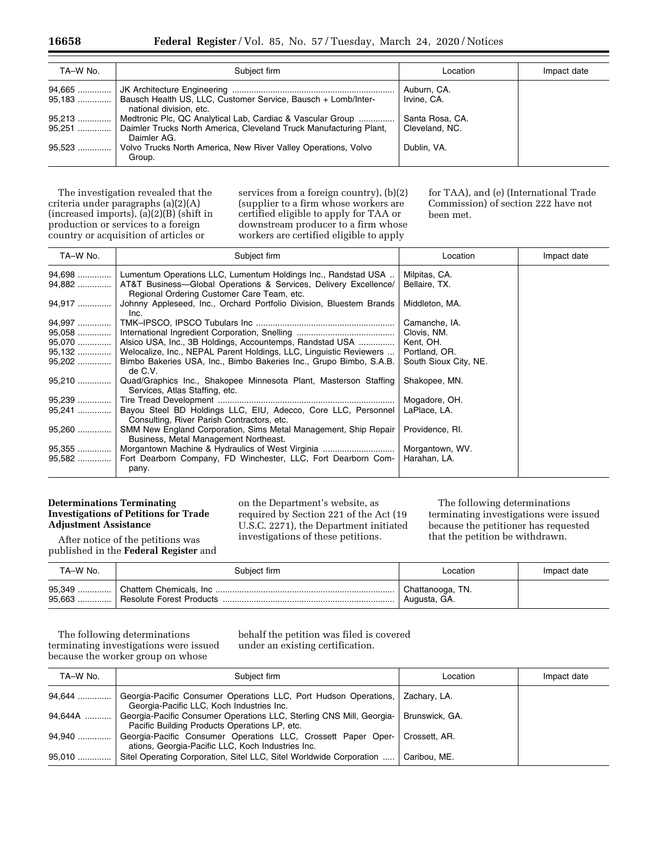| TA-W No. | Subject firm                                                                                       | Location        | Impact date |
|----------|----------------------------------------------------------------------------------------------------|-----------------|-------------|
|          |                                                                                                    | Auburn, CA.     |             |
|          | 95,183    Bausch Health US, LLC, Customer Service, Bausch + Lomb/Inter-<br>national division, etc. | Irvine, CA.     |             |
| 95,213   | Medtronic Plc, QC Analytical Lab, Cardiac & Vascular Group                                         | Santa Rosa, CA. |             |
|          | 95,251  Daimler Trucks North America, Cleveland Truck Manufacturing Plant,<br>Daimler AG.          | Cleveland, NC.  |             |
| $95,523$ | Volvo Trucks North America, New River Valley Operations, Volvo<br>Group.                           | Dublin, VA.     |             |

The investigation revealed that the criteria under paragraphs (a)(2)(A) (increased imports), (a)(2)(B) (shift in production or services to a foreign country or acquisition of articles or

services from a foreign country), (b)(2) (supplier to a firm whose workers are certified eligible to apply for TAA or downstream producer to a firm whose workers are certified eligible to apply

for TAA), and (e) (International Trade Commission) of section 222 have not been met.

| TA-W No. | Subject firm                                                                                                   | Location              | Impact date |
|----------|----------------------------------------------------------------------------------------------------------------|-----------------------|-------------|
|          | 94,698  Lumentum Operations LLC, Lumentum Holdings Inc., Randstad USA                                          | Milpitas, CA.         |             |
| 94,882   | AT&T Business-Global Operations & Services, Delivery Excellence/<br>Regional Ordering Customer Care Team, etc. | Bellaire, TX.         |             |
| 94,917   | Johnny Appleseed, Inc., Orchard Portfolio Division, Bluestem Brands<br>Inc.                                    | Middleton, MA.        |             |
| 94,997   |                                                                                                                | Camanche, IA.         |             |
| 95,058   |                                                                                                                | Clovis, NM.           |             |
| 95,070   | Alsico USA, Inc., 3B Holdings, Accountemps, Randstad USA                                                       | Kent, OH.             |             |
| 95,132   | Welocalize, Inc., NEPAL Parent Holdings, LLC, Linguistic Reviewers                                             | Portland, OR.         |             |
| 95,202   | Bimbo Bakeries USA, Inc., Bimbo Bakeries Inc., Grupo Bimbo, S.A.B.<br>de C.V.                                  | South Sioux City, NE. |             |
| 95,210   | Quad/Graphics Inc., Shakopee Minnesota Plant, Masterson Staffing<br>Services, Atlas Staffing, etc.             | Shakopee, MN.         |             |
| 95,239   |                                                                                                                | Mogadore, OH.         |             |
|          | Bayou Steel BD Holdings LLC, EIU, Adecco, Core LLC, Personnel<br>Consulting, River Parish Contractors, etc.    | LaPlace, LA.          |             |
| 95,260   | SMM New England Corporation, Sims Metal Management, Ship Repair<br>Business, Metal Management Northeast.       | Providence, RI.       |             |
| 95,355   | Morgantown Machine & Hydraulics of West Virginia                                                               | Morgantown, WV.       |             |
| 95,582   | Fort Dearborn Company, FD Winchester, LLC, Fort Dearborn Com-<br>pany.                                         | Harahan, LA.          |             |

## **Determinations Terminating Investigations of Petitions for Trade Adjustment Assistance**

After notice of the petitions was published in the **Federal Register** and

on the Department's website, as required by Section 221 of the Act (19 U.S.C. 2271), the Department initiated investigations of these petitions.

The following determinations terminating investigations were issued because the petitioner has requested that the petition be withdrawn.

| TA-W No. | Subject firm | Location                                      | Impact date |
|----------|--------------|-----------------------------------------------|-------------|
|          |              | Chattanooga, TN.<br><sup>'</sup> Augusta, GA. |             |

The following determinations terminating investigations were issued because the worker group on whose

behalf the petition was filed is covered under an existing certification.

| TA-W No. | Subiect firm                                                                                                                       | Location       | Impact date |
|----------|------------------------------------------------------------------------------------------------------------------------------------|----------------|-------------|
| 94,644   | Georgia-Pacific Consumer Operations LLC, Port Hudson Operations, Zachary, LA.<br>Georgia-Pacific LLC, Koch Industries Inc.         |                |             |
| 94,644A  | Georgia-Pacific Consumer Operations LLC, Sterling CNS Mill, Georgia-<br>Pacific Building Products Operations LP, etc.              | Brunswick, GA. |             |
| 94,940   | Georgia-Pacific Consumer Operations LLC, Crossett Paper Oper-   Crossett, AR.<br>ations, Georgia-Pacific LLC, Koch Industries Inc. |                |             |
| $95.010$ | Sitel Operating Corporation, Sitel LLC, Sitel Worldwide Corporation                                                                | Caribou, ME.   |             |